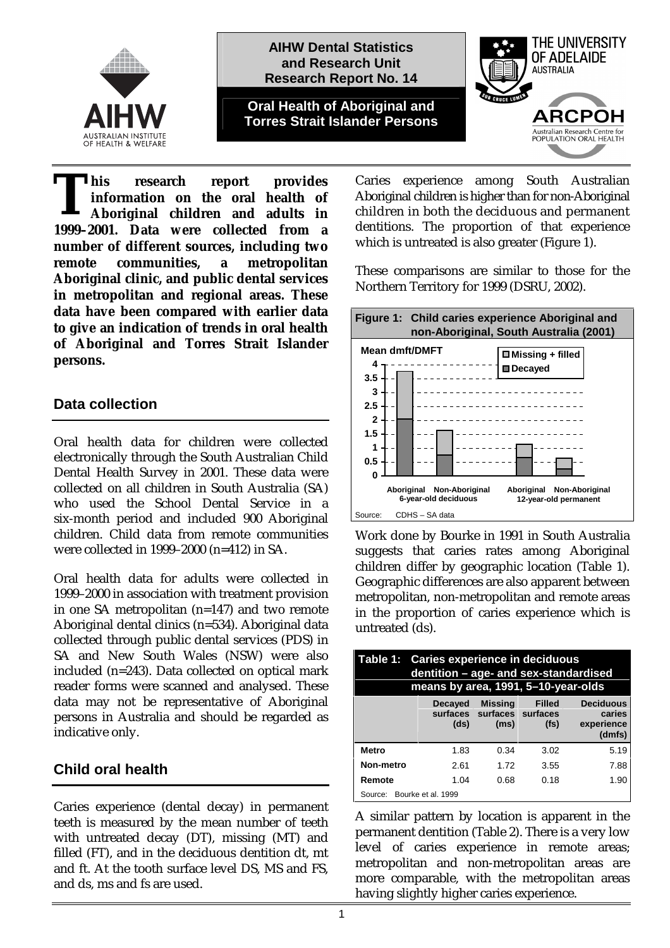



**his research report provides information on the oral health of Aboriginal children and adults in 1999–2001.** Data were collected from a **1999–2001.** Data were collected from a **number of different sources, including two remote communities, a metropolitan Aboriginal clinic, and public dental services in metropolitan and regional areas. These data have been compared with earlier data to give an indication of trends in oral health of Aboriginal and Torres Strait Islander persons.** 

## **Data collection**

Oral health data for children were collected electronically through the South Australian Child Dental Health Survey in 2001. These data were collected on all children in South Australia (SA) who used the School Dental Service in a six-month period and included 900 Aboriginal children. Child data from remote communities were collected in 1999–2000 (n=412) in SA.

Oral health data for adults were collected in 1999–2000 in association with treatment provision in one SA metropolitan (n=147) and two remote Aboriginal dental clinics (n=534). Aboriginal data collected through public dental services (PDS) in SA and New South Wales (NSW) were also included (n=243). Data collected on optical mark reader forms were scanned and analysed. These data may not be representative of Aboriginal persons in Australia and should be regarded as indicative only.

# **Child oral health**

Caries experience (dental decay) in permanent teeth is measured by the mean number of teeth with untreated decay (DT), missing (MT) and filled (FT), and in the deciduous dentition dt, mt and ft. At the tooth surface level DS, MS and FS, and ds, ms and fs are used.

Caries experience among South Australian Aboriginal children is higher than for non-Aboriginal children in both the deciduous and permanent dentitions. The proportion of that experience which is untreated is also greater (Figure 1).

These comparisons are similar to those for the Northern Territory for 1999 (DSRU, 2002).



Work done by Bourke in 1991 in South Australia suggests that caries rates among Aboriginal children differ by geographic location (Table 1). Geographic differences are also apparent between metropolitan, non-metropolitan and remote areas in the proportion of caries experience which is untreated (ds).

| Table 1: Caries experience in deciduous<br>dentition - age- and sex-standardised<br>means by area, 1991, 5-10-year-olds |                        |                                                      |                                    |                                                    |  |  |
|-------------------------------------------------------------------------------------------------------------------------|------------------------|------------------------------------------------------|------------------------------------|----------------------------------------------------|--|--|
|                                                                                                                         | <b>Decayed</b><br>(ds) | <b>Missing</b><br>surfaces surfaces surfaces<br>(ms) | <b>Filled</b><br>(f <sub>S</sub> ) | <b>Deciduous</b><br>caries<br>experience<br>(dmfs) |  |  |
| <b>Metro</b>                                                                                                            | 1.83                   | 0.34                                                 | 3.02                               | 5.19                                               |  |  |
| Non-metro                                                                                                               | 2.61                   | 1.72                                                 | 3.55                               | 7.88                                               |  |  |
| Remote                                                                                                                  | 1. $04$                | 0.68                                                 | 0.18                               | 1.90                                               |  |  |
| Source: Bourke et al. 1999                                                                                              |                        |                                                      |                                    |                                                    |  |  |

A similar pattern by location is apparent in the permanent dentition (Table 2). There is a very low level of caries experience in remote areas; metropolitan and non-metropolitan areas are more comparable, with the metropolitan areas having slightly higher caries experience.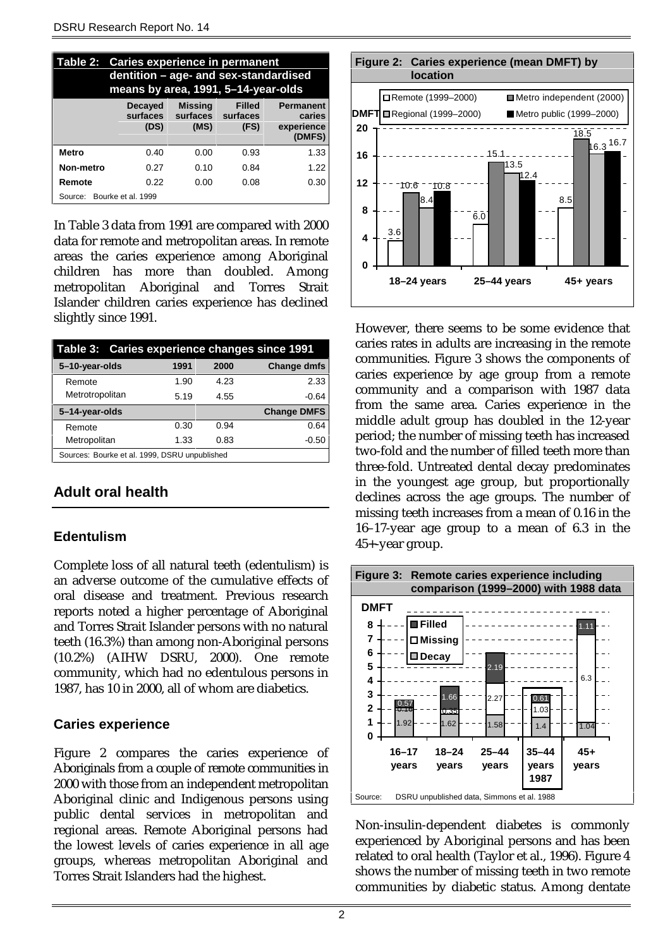| Table 2: Caries experience in permanent<br>dentition - age- and sex-standardised<br>means by area, 1991, 5-14-year-olds |                                    |                                    |                                   |                                                    |  |  |
|-------------------------------------------------------------------------------------------------------------------------|------------------------------------|------------------------------------|-----------------------------------|----------------------------------------------------|--|--|
|                                                                                                                         | <b>Decayed</b><br>surfaces<br>(DS) | <b>Missing</b><br>surfaces<br>(MS) | <b>Filled</b><br>surfaces<br>(FS) | <b>Permanent</b><br>caries<br>experience<br>(DMFS) |  |  |
| <b>Metro</b>                                                                                                            | 0.40                               | 0.00                               | 0.93                              | 1.33                                               |  |  |
| Non-metro                                                                                                               | 0.27                               | 0.10                               | 0.84                              | 1.22                                               |  |  |
| Remote                                                                                                                  | 0.22                               | 0.00                               | 0.08                              | 0.30                                               |  |  |
| Source: Bourke et al. 1999                                                                                              |                                    |                                    |                                   |                                                    |  |  |

In Table 3 data from 1991 are compared with 2000 data for remote and metropolitan areas. In remote areas the caries experience among Aboriginal children has more than doubled. Among metropolitan Aboriginal and Torres Strait Islander children caries experience has declined slightly since 1991.

| Table 3: Caries experience changes since 1991 |      |      |                    |
|-----------------------------------------------|------|------|--------------------|
| 5-10-year-olds                                | 1991 | 2000 | <b>Change dmfs</b> |
| Remote                                        | 1.90 | 4.23 | 2.33               |
| Metrotropolitan                               | 5.19 | 4.55 | $-0.64$            |
|                                               |      |      |                    |
| 5-14-year-olds                                |      |      | <b>Change DMFS</b> |
| Remote                                        | 0.30 | 0.94 | 0.64               |
| Metropolitan                                  | 1.33 | 0.83 | $-0.50$            |

# **Adult oral health**

#### **Edentulism**

Complete loss of all natural teeth (edentulism) is an adverse outcome of the cumulative effects of oral disease and treatment. Previous research reports noted a higher percentage of Aboriginal and Torres Strait Islander persons with no natural teeth (16.3%) than among non-Aboriginal persons (10.2%) (AIHW DSRU, 2000). One remote community, which had no edentulous persons in 1987, has 10 in 2000, all of whom are diabetics.

#### **Caries experience**

Figure 2 compares the caries experience of Aboriginals from a couple of remote communities in 2000 with those from an independent metropolitan Aboriginal clinic and Indigenous persons using public dental services in metropolitan and regional areas. Remote Aboriginal persons had the lowest levels of caries experience in all age groups, whereas metropolitan Aboriginal and Torres Strait Islanders had the highest.



However, there seems to be some evidence that caries rates in adults are increasing in the remote communities. Figure 3 shows the components of caries experience by age group from a remote community and a comparison with 1987 data from the same area. Caries experience in the middle adult group has doubled in the 12-year period; the number of missing teeth has increased two-fold and the number of filled teeth more than three-fold. Untreated dental decay predominates in the youngest age group, but proportionally declines across the age groups. The number of missing teeth increases from a mean of 0.16 in the 16–17-year age group to a mean of 6.3 in the 45+-year group.



Non-insulin-dependent diabetes is commonly experienced by Aboriginal persons and has been related to oral health (Taylor et al., 1996). Figure 4 shows the number of missing teeth in two remote communities by diabetic status. Among dentate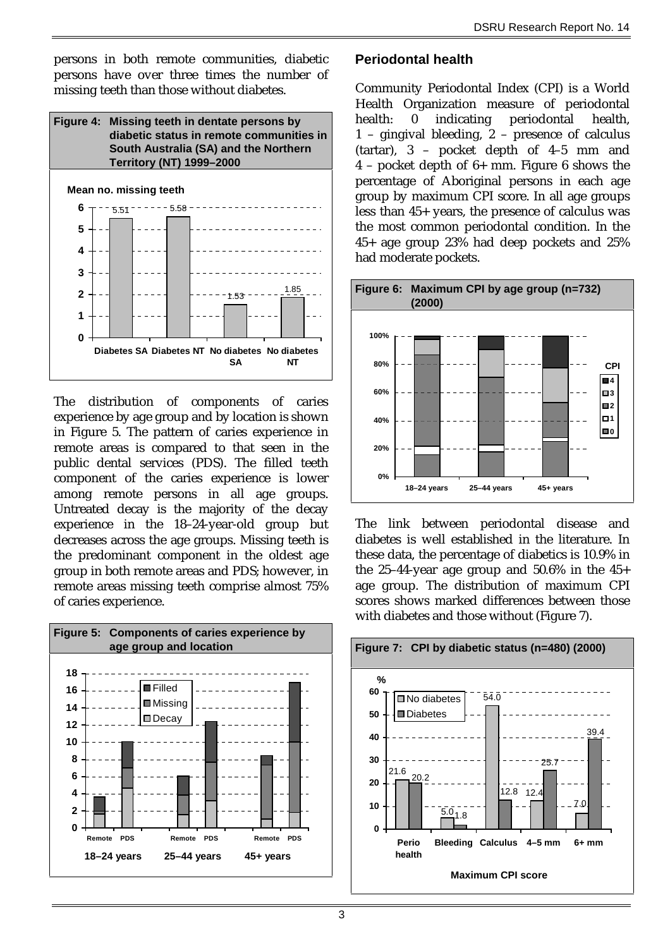persons in both remote communities, diabetic persons have over three times the number of missing teeth than those without diabetes.



The distribution of components of caries experience by age group and by location is shown in Figure 5. The pattern of caries experience in remote areas is compared to that seen in the public dental services (PDS). The filled teeth component of the caries experience is lower among remote persons in all age groups. Untreated decay is the majority of the decay experience in the 18–24-year-old group but decreases across the age groups. Missing teeth is the predominant component in the oldest age group in both remote areas and PDS; however, in remote areas missing teeth comprise almost 75% of caries experience.



### **Periodontal health**

Community Periodontal Index (CPI) is a World Health Organization measure of periodontal health: 0 indicating periodontal health, 1 – gingival bleeding, 2 – presence of calculus (tartar), 3 – pocket depth of 4–5 mm and 4 – pocket depth of 6+ mm. Figure 6 shows the percentage of Aboriginal persons in each age group by maximum CPI score. In all age groups less than 45+ years, the presence of calculus was the most common periodontal condition. In the 45+ age group 23% had deep pockets and 25% had moderate pockets.



The link between periodontal disease and diabetes is well established in the literature. In these data, the percentage of diabetics is 10.9% in the 25–44-year age group and  $50.6\%$  in the  $45+$ age group. The distribution of maximum CPI scores shows marked differences between those with diabetes and those without (Figure 7).